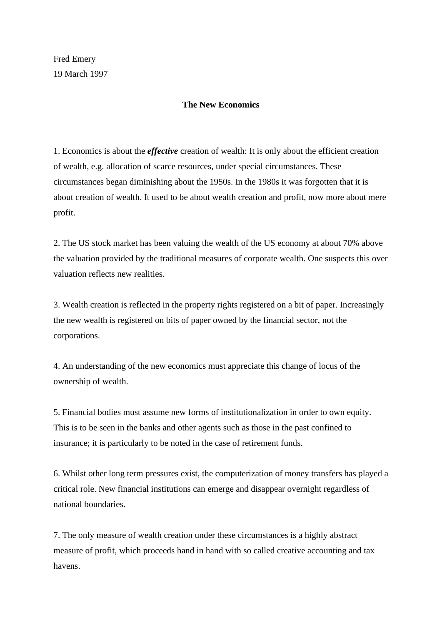Fred Emery 19 March 1997

## **The New Economics**

1. Economics is about the *effective* creation of wealth: It is only about the efficient creation of wealth, e.g. allocation of scarce resources, under special circumstances. These circumstances began diminishing about the 1950s. In the 1980s it was forgotten that it is about creation of wealth. It used to be about wealth creation and profit, now more about mere profit.

2. The US stock market has been valuing the wealth of the US economy at about 70% above the valuation provided by the traditional measures of corporate wealth. One suspects this over valuation reflects new realities.

3. Wealth creation is reflected in the property rights registered on a bit of paper. Increasingly the new wealth is registered on bits of paper owned by the financial sector, not the corporations.

4. An understanding of the new economics must appreciate this change of locus of the ownership of wealth.

5. Financial bodies must assume new forms of institutionalization in order to own equity. This is to be seen in the banks and other agents such as those in the past confined to insurance; it is particularly to be noted in the case of retirement funds.

6. Whilst other long term pressures exist, the computerization of money transfers has played a critical role. New financial institutions can emerge and disappear overnight regardless of national boundaries.

7. The only measure of wealth creation under these circumstances is a highly abstract measure of profit, which proceeds hand in hand with so called creative accounting and tax havens.